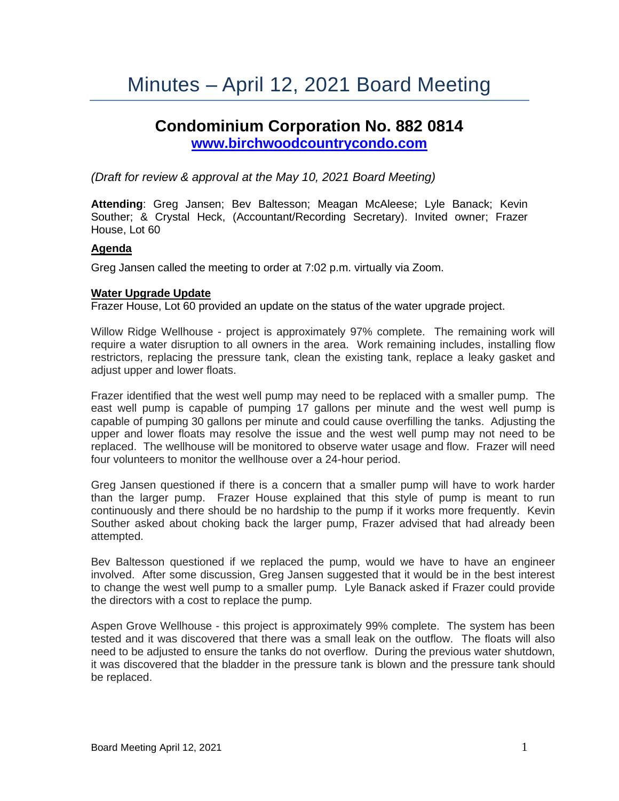# Minutes – April 12, 2021 Board Meeting

# **Condominium Corporation No. 882 0814 [www.birchwoodcountrycondo.com](http://www.birchwoodcountrycondo.com/)**

*(Draft for review & approval at the May 10, 2021 Board Meeting)*

**Attending**: Greg Jansen; Bev Baltesson; Meagan McAleese; Lyle Banack; Kevin Souther; & Crystal Heck, (Accountant/Recording Secretary). Invited owner; Frazer House, Lot 60

#### **Agenda**

Greg Jansen called the meeting to order at 7:02 p.m. virtually via Zoom.

#### **Water Upgrade Update**

Frazer House, Lot 60 provided an update on the status of the water upgrade project.

Willow Ridge Wellhouse - project is approximately 97% complete. The remaining work will require a water disruption to all owners in the area. Work remaining includes, installing flow restrictors, replacing the pressure tank, clean the existing tank, replace a leaky gasket and adjust upper and lower floats.

Frazer identified that the west well pump may need to be replaced with a smaller pump. The east well pump is capable of pumping 17 gallons per minute and the west well pump is capable of pumping 30 gallons per minute and could cause overfilling the tanks. Adjusting the upper and lower floats may resolve the issue and the west well pump may not need to be replaced. The wellhouse will be monitored to observe water usage and flow. Frazer will need four volunteers to monitor the wellhouse over a 24-hour period.

Greg Jansen questioned if there is a concern that a smaller pump will have to work harder than the larger pump. Frazer House explained that this style of pump is meant to run continuously and there should be no hardship to the pump if it works more frequently. Kevin Souther asked about choking back the larger pump, Frazer advised that had already been attempted.

Bev Baltesson questioned if we replaced the pump, would we have to have an engineer involved. After some discussion, Greg Jansen suggested that it would be in the best interest to change the west well pump to a smaller pump. Lyle Banack asked if Frazer could provide the directors with a cost to replace the pump.

Aspen Grove Wellhouse - this project is approximately 99% complete. The system has been tested and it was discovered that there was a small leak on the outflow. The floats will also need to be adjusted to ensure the tanks do not overflow. During the previous water shutdown, it was discovered that the bladder in the pressure tank is blown and the pressure tank should be replaced.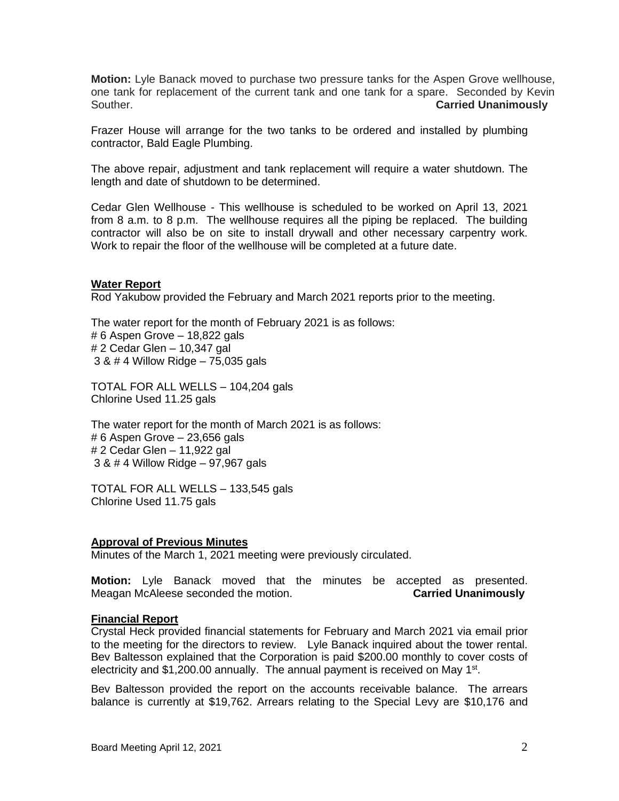**Motion:** Lyle Banack moved to purchase two pressure tanks for the Aspen Grove wellhouse, one tank for replacement of the current tank and one tank for a spare. Seconded by Kevin Souther. **Carried Unanimously**

Frazer House will arrange for the two tanks to be ordered and installed by plumbing contractor, Bald Eagle Plumbing.

The above repair, adjustment and tank replacement will require a water shutdown. The length and date of shutdown to be determined.

Cedar Glen Wellhouse - This wellhouse is scheduled to be worked on April 13, 2021 from 8 a.m. to 8 p.m. The wellhouse requires all the piping be replaced. The building contractor will also be on site to install drywall and other necessary carpentry work. Work to repair the floor of the wellhouse will be completed at a future date.

#### **Water Report**

Rod Yakubow provided the February and March 2021 reports prior to the meeting.

The water report for the month of February 2021 is as follows: # 6 Aspen Grove – 18,822 gals # 2 Cedar Glen – 10,347 gal 3 & # 4 Willow Ridge – 75,035 gals

TOTAL FOR ALL WELLS – 104,204 gals Chlorine Used 11.25 gals

The water report for the month of March 2021 is as follows: # 6 Aspen Grove – 23,656 gals # 2 Cedar Glen – 11,922 gal 3 & # 4 Willow Ridge – 97,967 gals

TOTAL FOR ALL WELLS – 133,545 gals Chlorine Used 11.75 gals

#### **Approval of Previous Minutes**

Minutes of the March 1, 2021 meeting were previously circulated.

**Motion:** Lyle Banack moved that the minutes be accepted as presented. Meagan McAleese seconded the motion. **Carried Unanimously**

#### **Financial Report**

Crystal Heck provided financial statements for February and March 2021 via email prior to the meeting for the directors to review. Lyle Banack inquired about the tower rental. Bev Baltesson explained that the Corporation is paid \$200.00 monthly to cover costs of electricity and \$1,200.00 annually. The annual payment is received on May 1<sup>st</sup>.

Bev Baltesson provided the report on the accounts receivable balance. The arrears balance is currently at \$19,762. Arrears relating to the Special Levy are \$10,176 and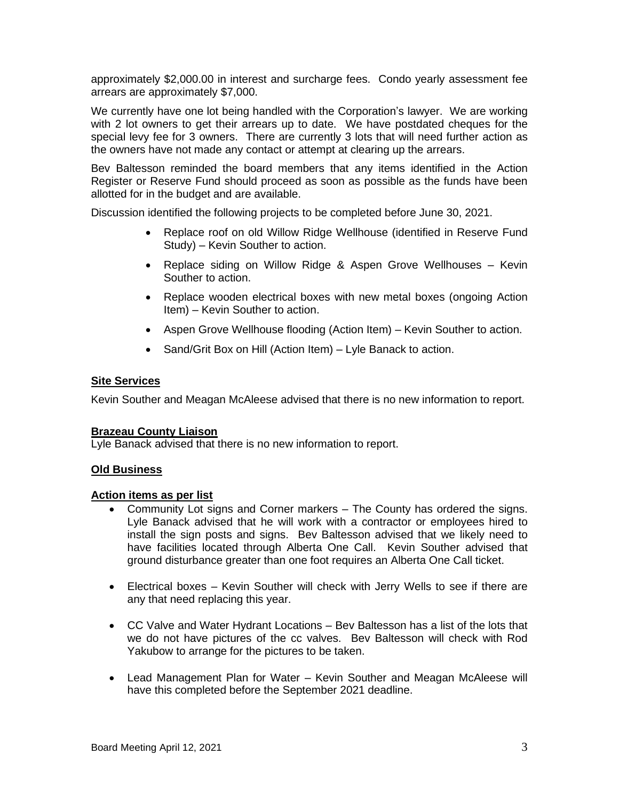approximately \$2,000.00 in interest and surcharge fees. Condo yearly assessment fee arrears are approximately \$7,000.

We currently have one lot being handled with the Corporation's lawyer. We are working with 2 lot owners to get their arrears up to date. We have postdated cheques for the special levy fee for 3 owners. There are currently 3 lots that will need further action as the owners have not made any contact or attempt at clearing up the arrears.

Bev Baltesson reminded the board members that any items identified in the Action Register or Reserve Fund should proceed as soon as possible as the funds have been allotted for in the budget and are available.

Discussion identified the following projects to be completed before June 30, 2021.

- Replace roof on old Willow Ridge Wellhouse (identified in Reserve Fund Study) – Kevin Souther to action.
- Replace siding on Willow Ridge & Aspen Grove Wellhouses Kevin Souther to action.
- Replace wooden electrical boxes with new metal boxes (ongoing Action Item) – Kevin Souther to action.
- Aspen Grove Wellhouse flooding (Action Item) Kevin Souther to action.
- Sand/Grit Box on Hill (Action Item) Lyle Banack to action.

#### **Site Services**

Kevin Souther and Meagan McAleese advised that there is no new information to report.

# **Brazeau County Liaison**

Lyle Banack advised that there is no new information to report.

# **Old Business**

#### **Action items as per list**

- Community Lot signs and Corner markers The County has ordered the signs. Lyle Banack advised that he will work with a contractor or employees hired to install the sign posts and signs. Bev Baltesson advised that we likely need to have facilities located through Alberta One Call. Kevin Souther advised that ground disturbance greater than one foot requires an Alberta One Call ticket.
- Electrical boxes Kevin Souther will check with Jerry Wells to see if there are any that need replacing this year.
- CC Valve and Water Hydrant Locations Bev Baltesson has a list of the lots that we do not have pictures of the cc valves. Bev Baltesson will check with Rod Yakubow to arrange for the pictures to be taken.
- Lead Management Plan for Water Kevin Souther and Meagan McAleese will have this completed before the September 2021 deadline.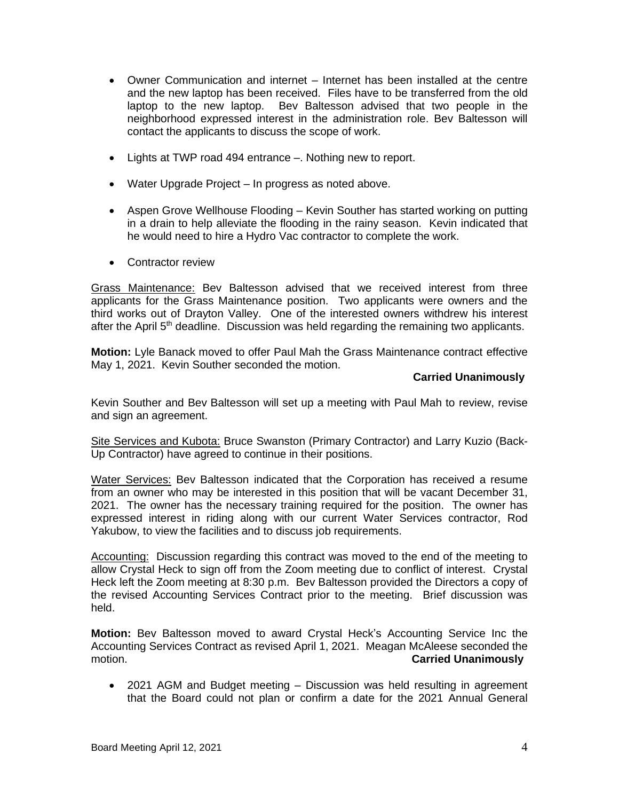- Owner Communication and internet Internet has been installed at the centre and the new laptop has been received. Files have to be transferred from the old laptop to the new laptop. Bev Baltesson advised that two people in the neighborhood expressed interest in the administration role. Bev Baltesson will contact the applicants to discuss the scope of work.
- Lights at TWP road 494 entrance –. Nothing new to report.
- Water Upgrade Project In progress as noted above.
- Aspen Grove Wellhouse Flooding Kevin Souther has started working on putting in a drain to help alleviate the flooding in the rainy season. Kevin indicated that he would need to hire a Hydro Vac contractor to complete the work.
- Contractor review

Grass Maintenance: Bev Baltesson advised that we received interest from three applicants for the Grass Maintenance position. Two applicants were owners and the third works out of Drayton Valley. One of the interested owners withdrew his interest after the April  $5<sup>th</sup>$  deadline. Discussion was held regarding the remaining two applicants.

**Motion:** Lyle Banack moved to offer Paul Mah the Grass Maintenance contract effective May 1, 2021. Kevin Souther seconded the motion.

### **Carried Unanimously**

Kevin Souther and Bev Baltesson will set up a meeting with Paul Mah to review, revise and sign an agreement.

Site Services and Kubota: Bruce Swanston (Primary Contractor) and Larry Kuzio (Back-Up Contractor) have agreed to continue in their positions.

Water Services: Bev Baltesson indicated that the Corporation has received a resume from an owner who may be interested in this position that will be vacant December 31, 2021. The owner has the necessary training required for the position. The owner has expressed interest in riding along with our current Water Services contractor, Rod Yakubow, to view the facilities and to discuss job requirements.

Accounting: Discussion regarding this contract was moved to the end of the meeting to allow Crystal Heck to sign off from the Zoom meeting due to conflict of interest. Crystal Heck left the Zoom meeting at 8:30 p.m. Bev Baltesson provided the Directors a copy of the revised Accounting Services Contract prior to the meeting. Brief discussion was held.

**Motion:** Bev Baltesson moved to award Crystal Heck's Accounting Service Inc the Accounting Services Contract as revised April 1, 2021. Meagan McAleese seconded the motion. **Carried Unanimously**

• 2021 AGM and Budget meeting – Discussion was held resulting in agreement that the Board could not plan or confirm a date for the 2021 Annual General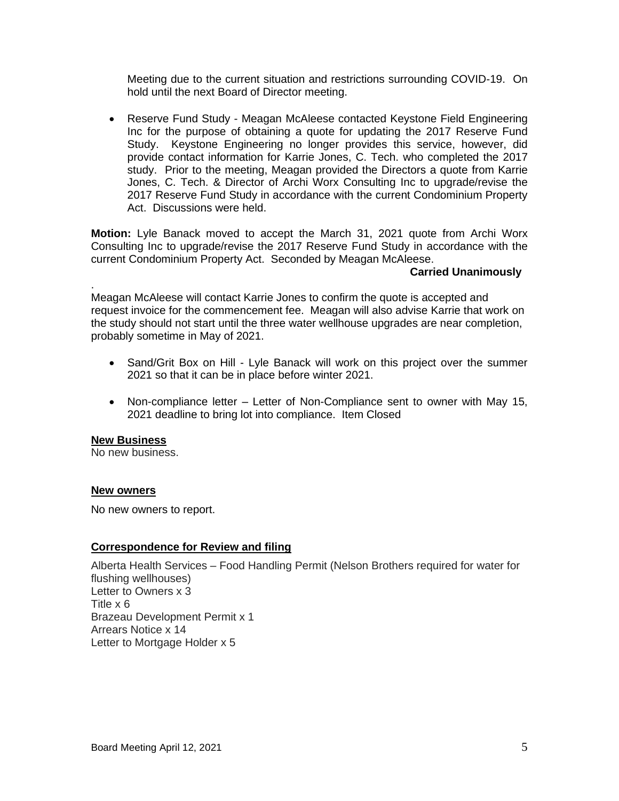Meeting due to the current situation and restrictions surrounding COVID-19. On hold until the next Board of Director meeting.

• Reserve Fund Study - Meagan McAleese contacted Keystone Field Engineering Inc for the purpose of obtaining a quote for updating the 2017 Reserve Fund Study. Keystone Engineering no longer provides this service, however, did provide contact information for Karrie Jones, C. Tech. who completed the 2017 study. Prior to the meeting, Meagan provided the Directors a quote from Karrie Jones, C. Tech. & Director of Archi Worx Consulting Inc to upgrade/revise the 2017 Reserve Fund Study in accordance with the current Condominium Property Act. Discussions were held.

**Motion:** Lyle Banack moved to accept the March 31, 2021 quote from Archi Worx Consulting Inc to upgrade/revise the 2017 Reserve Fund Study in accordance with the current Condominium Property Act. Seconded by Meagan McAleese.

#### **Carried Unanimously**

Meagan McAleese will contact Karrie Jones to confirm the quote is accepted and request invoice for the commencement fee. Meagan will also advise Karrie that work on the study should not start until the three water wellhouse upgrades are near completion, probably sometime in May of 2021.

- Sand/Grit Box on Hill Lyle Banack will work on this project over the summer 2021 so that it can be in place before winter 2021.
- Non-compliance letter Letter of Non-Compliance sent to owner with May 15, 2021 deadline to bring lot into compliance. Item Closed

#### **New Business**

.

No new business.

#### **New owners**

No new owners to report.

# **Correspondence for Review and filing**

Alberta Health Services – Food Handling Permit (Nelson Brothers required for water for flushing wellhouses) Letter to Owners x 3 Title x 6 Brazeau Development Permit x 1 Arrears Notice x 14 Letter to Mortgage Holder x 5